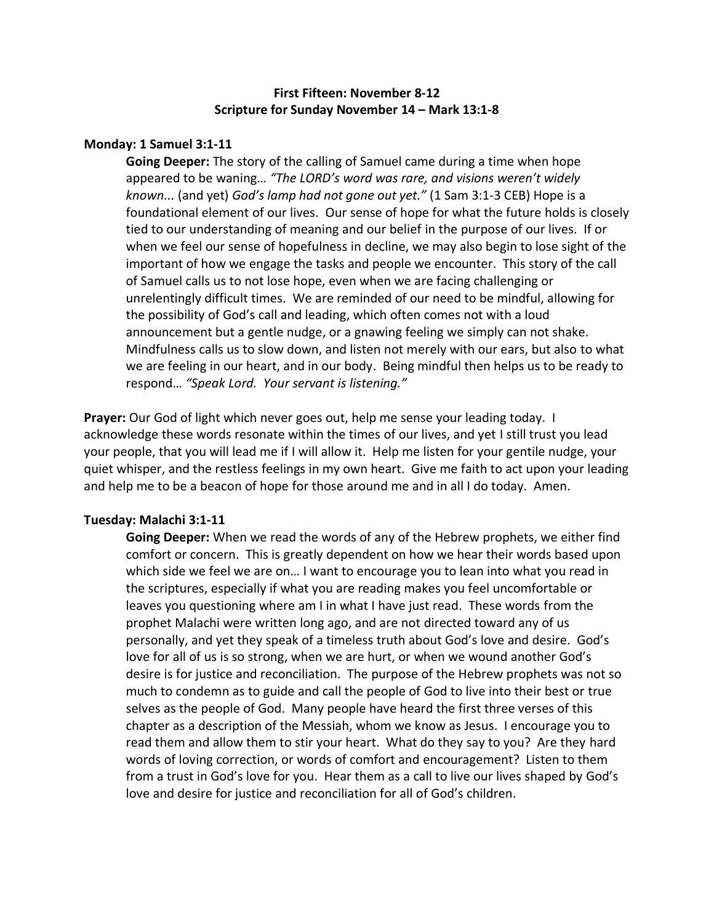# **First Fifteen: November 8-12 Scripture for Sunday November 14 – Mark 13:1-8**

## **Monday: 1 Samuel 3:1-11**

**Going Deeper:** The story of the calling of Samuel came during a time when hope appeared to be waning… *"The LORD's word was rare, and visions weren't widely known...* (and yet) *God's lamp had not gone out yet."* (1 Sam 3:1-3 CEB) Hope is a foundational element of our lives. Our sense of hope for what the future holds is closely tied to our understanding of meaning and our belief in the purpose of our lives. If or when we feel our sense of hopefulness in decline, we may also begin to lose sight of the important of how we engage the tasks and people we encounter. This story of the call of Samuel calls us to not lose hope, even when we are facing challenging or unrelentingly difficult times. We are reminded of our need to be mindful, allowing for the possibility of God's call and leading, which often comes not with a loud announcement but a gentle nudge, or a gnawing feeling we simply can not shake. Mindfulness calls us to slow down, and listen not merely with our ears, but also to what we are feeling in our heart, and in our body. Being mindful then helps us to be ready to respond… *"Speak Lord. Your servant is listening."* 

**Prayer:** Our God of light which never goes out, help me sense your leading today. I acknowledge these words resonate within the times of our lives, and yet I still trust you lead your people, that you will lead me if I will allow it. Help me listen for your gentile nudge, your quiet whisper, and the restless feelings in my own heart. Give me faith to act upon your leading and help me to be a beacon of hope for those around me and in all I do today. Amen.

## **Tuesday: Malachi 3:1-11**

**Going Deeper:** When we read the words of any of the Hebrew prophets, we either find comfort or concern. This is greatly dependent on how we hear their words based upon which side we feel we are on… I want to encourage you to lean into what you read in the scriptures, especially if what you are reading makes you feel uncomfortable or leaves you questioning where am I in what I have just read. These words from the prophet Malachi were written long ago, and are not directed toward any of us personally, and yet they speak of a timeless truth about God's love and desire. God's love for all of us is so strong, when we are hurt, or when we wound another God's desire is for justice and reconciliation. The purpose of the Hebrew prophets was not so much to condemn as to guide and call the people of God to live into their best or true selves as the people of God. Many people have heard the first three verses of this chapter as a description of the Messiah, whom we know as Jesus. I encourage you to read them and allow them to stir your heart. What do they say to you? Are they hard words of loving correction, or words of comfort and encouragement? Listen to them from a trust in God's love for you. Hear them as a call to live our lives shaped by God's love and desire for justice and reconciliation for all of God's children.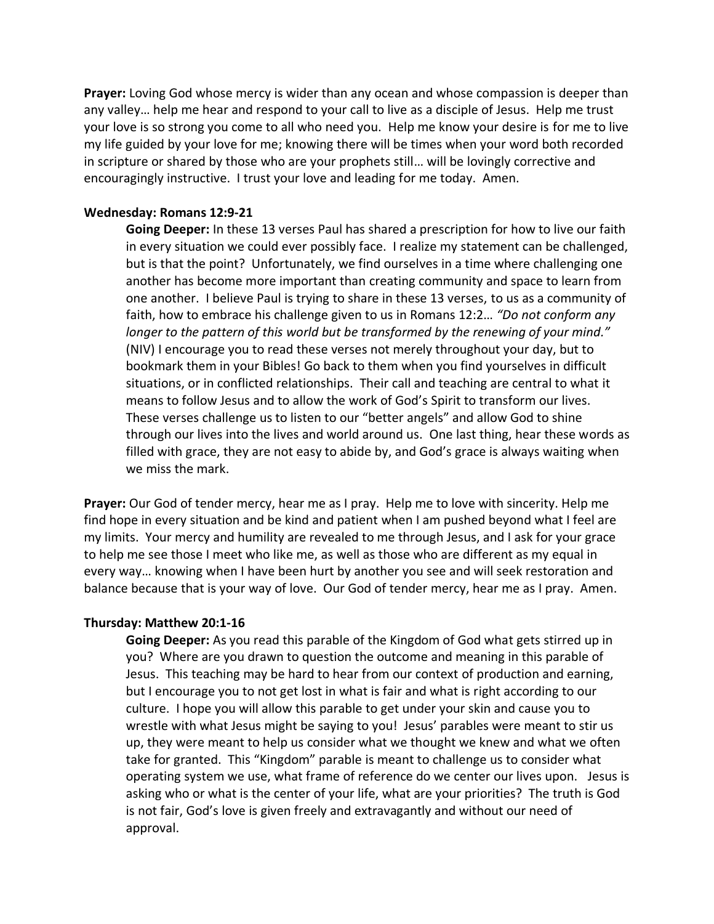**Prayer:** Loving God whose mercy is wider than any ocean and whose compassion is deeper than any valley… help me hear and respond to your call to live as a disciple of Jesus. Help me trust your love is so strong you come to all who need you. Help me know your desire is for me to live my life guided by your love for me; knowing there will be times when your word both recorded in scripture or shared by those who are your prophets still… will be lovingly corrective and encouragingly instructive. I trust your love and leading for me today. Amen.

## **Wednesday: Romans 12:9-21**

**Going Deeper:** In these 13 verses Paul has shared a prescription for how to live our faith in every situation we could ever possibly face. I realize my statement can be challenged, but is that the point? Unfortunately, we find ourselves in a time where challenging one another has become more important than creating community and space to learn from one another. I believe Paul is trying to share in these 13 verses, to us as a community of faith, how to embrace his challenge given to us in Romans 12:2… *"Do not conform any longer to the pattern of this world but be transformed by the renewing of your mind."*  (NIV) I encourage you to read these verses not merely throughout your day, but to bookmark them in your Bibles! Go back to them when you find yourselves in difficult situations, or in conflicted relationships. Their call and teaching are central to what it means to follow Jesus and to allow the work of God's Spirit to transform our lives. These verses challenge us to listen to our "better angels" and allow God to shine through our lives into the lives and world around us. One last thing, hear these words as filled with grace, they are not easy to abide by, and God's grace is always waiting when we miss the mark.

**Prayer:** Our God of tender mercy, hear me as I pray. Help me to love with sincerity. Help me find hope in every situation and be kind and patient when I am pushed beyond what I feel are my limits. Your mercy and humility are revealed to me through Jesus, and I ask for your grace to help me see those I meet who like me, as well as those who are different as my equal in every way… knowing when I have been hurt by another you see and will seek restoration and balance because that is your way of love. Our God of tender mercy, hear me as I pray. Amen.

#### **Thursday: Matthew 20:1-16**

**Going Deeper:** As you read this parable of the Kingdom of God what gets stirred up in you? Where are you drawn to question the outcome and meaning in this parable of Jesus. This teaching may be hard to hear from our context of production and earning, but I encourage you to not get lost in what is fair and what is right according to our culture. I hope you will allow this parable to get under your skin and cause you to wrestle with what Jesus might be saying to you! Jesus' parables were meant to stir us up, they were meant to help us consider what we thought we knew and what we often take for granted. This "Kingdom" parable is meant to challenge us to consider what operating system we use, what frame of reference do we center our lives upon. Jesus is asking who or what is the center of your life, what are your priorities? The truth is God is not fair, God's love is given freely and extravagantly and without our need of approval.